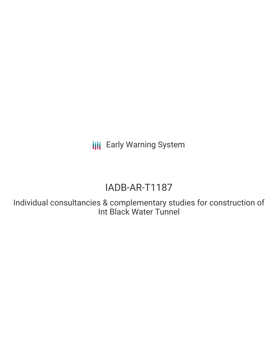**III** Early Warning System

# IADB-AR-T1187

Individual consultancies & complementary studies for construction of Int Black Water Tunnel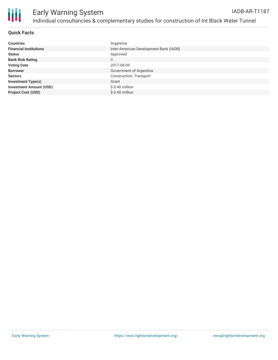

## **Quick Facts**

| <b>Countries</b>               | Argentina                              |
|--------------------------------|----------------------------------------|
| <b>Financial Institutions</b>  | Inter-American Development Bank (IADB) |
| <b>Status</b>                  | Approved                               |
| <b>Bank Risk Rating</b>        | C                                      |
| <b>Voting Date</b>             | 2017-08-09                             |
| <b>Borrower</b>                | Government of Argentina                |
| <b>Sectors</b>                 | Construction, Transport                |
| <b>Investment Type(s)</b>      | Grant                                  |
| <b>Investment Amount (USD)</b> | $$0.40$ million                        |
| <b>Project Cost (USD)</b>      | $$0.40$ million                        |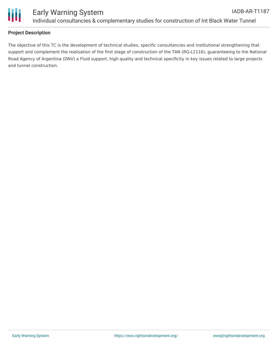

## **Project Description**

The objective of this TC is the development of technical studies, specific consultancies and institutional strengthening that support and complement the realisation of the first stage of construction of the TAN (RG-L1116), guaranteeing to the National Road Agency of Argentina (DNV) a Fluid support, high quality and technical specificity in key issues related to large projects and tunnel construction.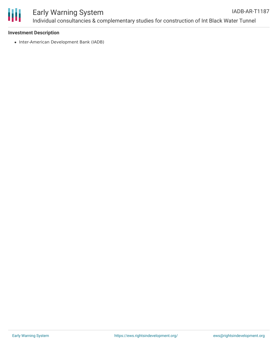

#### Early Warning System Individual consultancies & complementary studies for construction of Int Black Water Tunnel IADB-AR-T1187

#### **Investment Description**

• Inter-American Development Bank (IADB)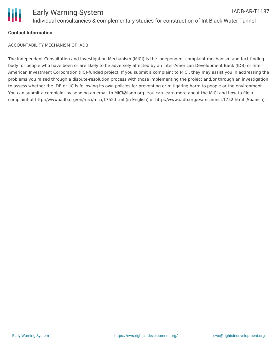

#### **Contact Information**

ACCOUNTABILITY MECHANISM OF IADB

The Independent Consultation and Investigation Mechanism (MICI) is the independent complaint mechanism and fact-finding body for people who have been or are likely to be adversely affected by an Inter-American Development Bank (IDB) or Inter-American Investment Corporation (IIC)-funded project. If you submit a complaint to MICI, they may assist you in addressing the problems you raised through a dispute-resolution process with those implementing the project and/or through an investigation to assess whether the IDB or IIC is following its own policies for preventing or mitigating harm to people or the environment. You can submit a complaint by sending an email to MICI@iadb.org. You can learn more about the MICI and how to file a complaint at http://www.iadb.org/en/mici/mici,1752.html (in English) or http://www.iadb.org/es/mici/mici,1752.html (Spanish).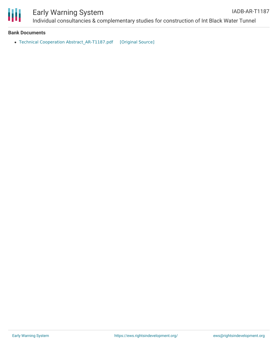

# Early Warning System

#### **Bank Documents**

• Technical Cooperation [Abstract\\_AR-T1187.pdf](https://ewsdata.rightsindevelopment.org/files/documents/87/IADB-AR-T1187.pdf) [\[Original](http://www.iadb.org/Document.cfm?id=EZSHARE-2093774266-8) Source]